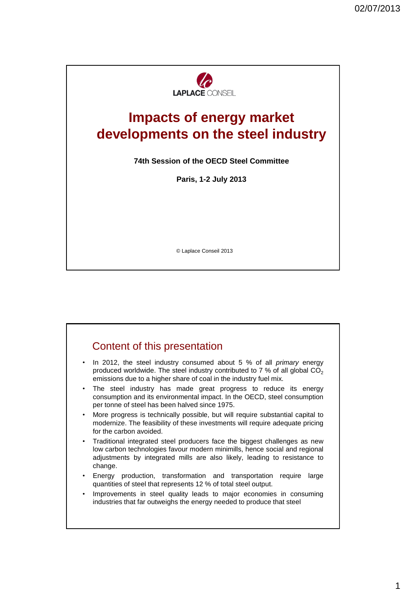

# **Impacts of energy market developments on the steel industry**

**74th Session of the OECD Steel Committee**

**Paris, 1-2 July 2013**

© Laplace Conseil 2013

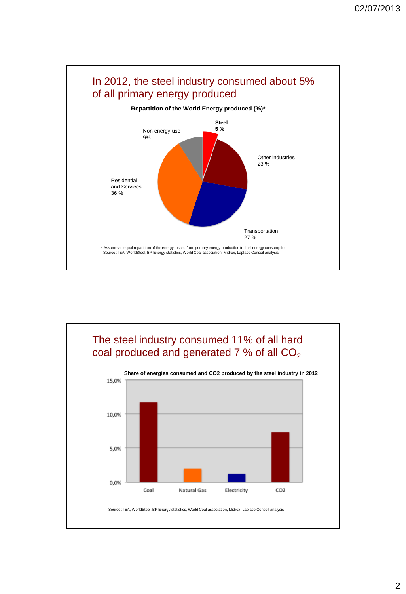

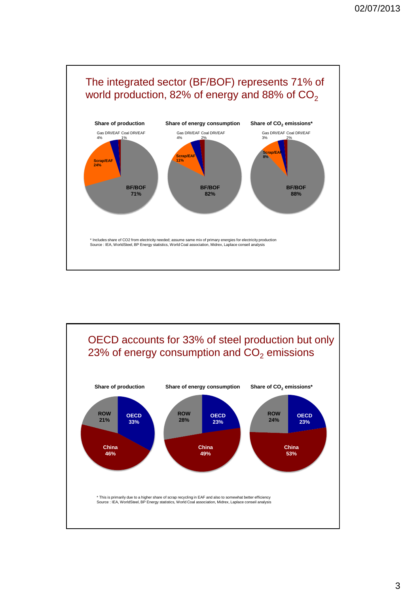

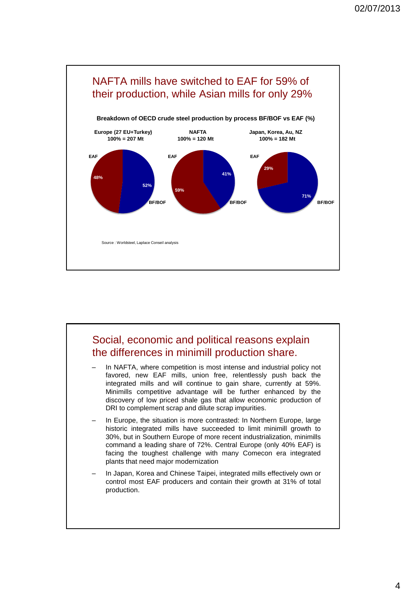

### Social, economic and political reasons explain the differences in minimill production share. In NAFTA, where competition is most intense and industrial policy not favored, new EAF mills, union free, relentlessly push back the integrated mills and will continue to gain share, currently at 59%. Minimills competitive advantage will be further enhanced by the discovery of low priced shale gas that allow economic production of DRI to complement scrap and dilute scrap impurities. In Europe, the situation is more contrasted: In Northern Europe, large historic integrated mills have succeeded to limit minimill growth to 30%, but in Southern Europe of more recent industrialization, minimills command a leading share of 72%. Central Europe (only 40% EAF) is facing the toughest challenge with many Comecon era integrated plants that need major modernization In Japan, Korea and Chinese Taipei, integrated mills effectively own or control most EAF producers and contain their growth at 31% of total production.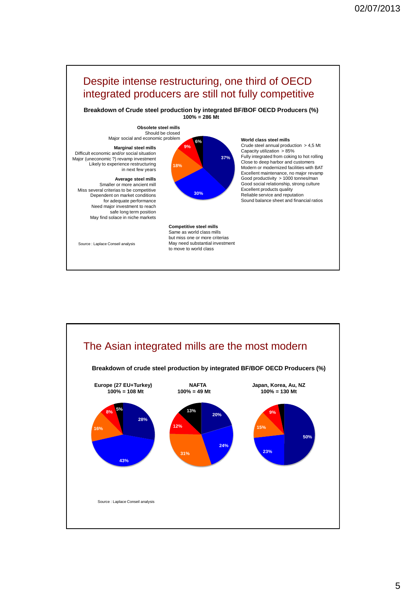

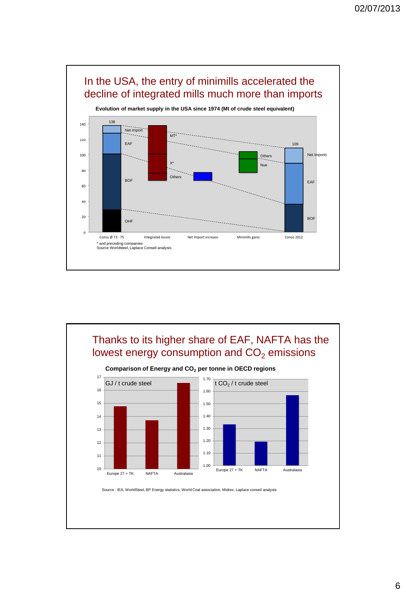

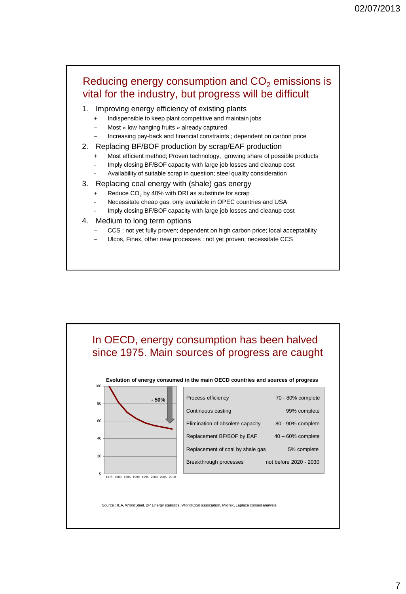# Reducing energy consumption and  $CO<sub>2</sub>$  emissions is vital for the industry, but progress will be difficult

- 1. Improving energy efficiency of existing plants
	- + Indispensible to keep plant competitive and maintain jobs
	- Most « low hanging fruits » already captured
	- Increasing pay-back and financial constraints ; dependent on carbon price

#### 2. Replacing BF/BOF production by scrap/EAF production

- Most efficient method; Proven technology, growing share of possible products
- Imply closing BF/BOF capacity with large job losses and cleanup cost
- Availability of suitable scrap in question; steel quality consideration

#### 3. Replacing coal energy with (shale) gas energy

- Reduce  $CO<sub>2</sub>$  by 40% with DRI as substitute for scrap
- Necessitate cheap gas, only available in OPEC countries and USA
- Imply closing BF/BOF capacity with large job losses and cleanup cost

#### 4. Medium to long term options

- CCS : not yet fully proven; dependent on high carbon price; local acceptability
- Ulcos, Finex, other new processes : not yet proven; necessitate CCS

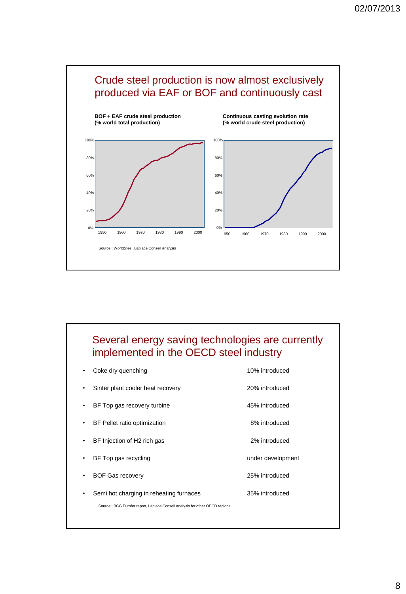

# Several energy saving technologies are currently implemented in the OECD steel industry

|           | Coke dry quenching                                                           | 10% introduced    |
|-----------|------------------------------------------------------------------------------|-------------------|
| ٠         | Sinter plant cooler heat recovery                                            | 20% introduced    |
|           | BF Top gas recovery turbine                                                  | 45% introduced    |
| $\bullet$ | BF Pellet ratio optimization                                                 | 8% introduced     |
| ٠         | BF Injection of H2 rich gas                                                  | 2% introduced     |
| ٠         | BF Top gas recycling                                                         | under development |
|           | <b>BOF Gas recovery</b>                                                      | 25% introduced    |
| ٠         | Semi hot charging in reheating furnaces                                      | 35% introduced    |
|           | Source : BCG Eurofer report, Laplace Conseil analysis for other OECD regions |                   |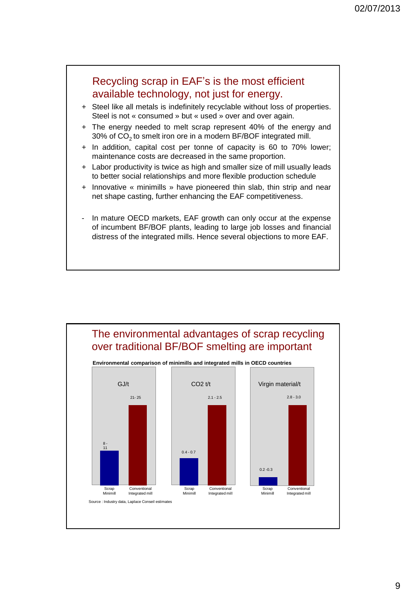

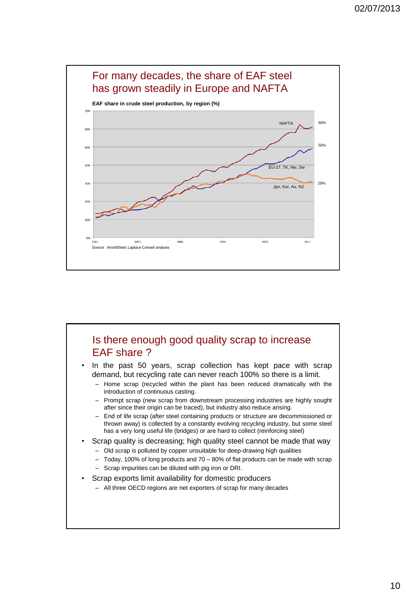

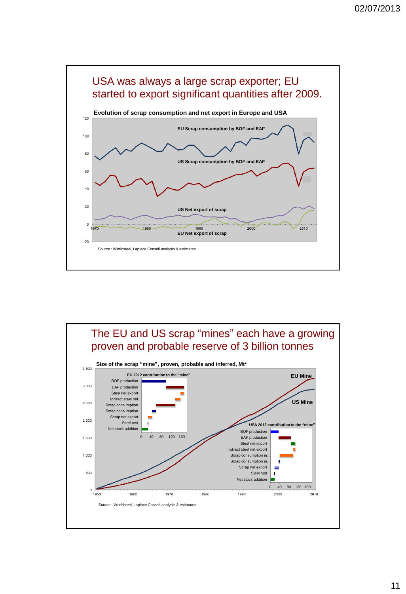

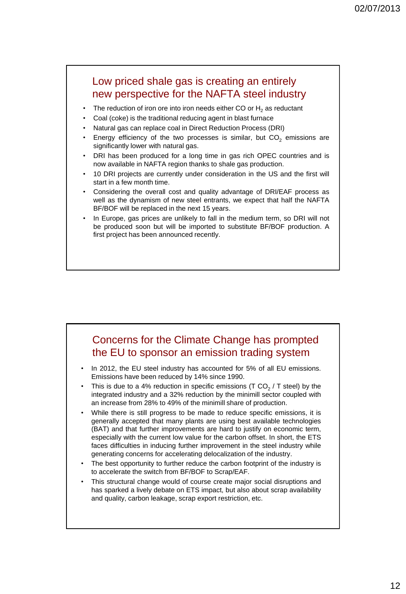## Low priced shale gas is creating an entirely new perspective for the NAFTA steel industry

- The reduction of iron ore into iron needs either CO or  $H<sub>2</sub>$  as reductant
- Coal (coke) is the traditional reducing agent in blast furnace
- Natural gas can replace coal in Direct Reduction Process (DRI)
- Energy efficiency of the two processes is similar, but  $CO<sub>2</sub>$  emissions are significantly lower with natural gas.
- DRI has been produced for a long time in gas rich OPEC countries and is now available in NAFTA region thanks to shale gas production.
- 10 DRI projects are currently under consideration in the US and the first will start in a few month time.
- Considering the overall cost and quality advantage of DRI/EAF process as well as the dynamism of new steel entrants, we expect that half the NAFTA BF/BOF will be replaced in the next 15 years.
- In Europe, gas prices are unlikely to fall in the medium term, so DRI will not be produced soon but will be imported to substitute BF/BOF production. A first project has been announced recently.

## Concerns for the Climate Change has prompted the EU to sponsor an emission trading system

- In 2012, the EU steel industry has accounted for 5% of all EU emissions. Emissions have been reduced by 14% since 1990.
- This is due to a 4% reduction in specific emissions (T CO<sub>2</sub> / T steel) by the integrated industry and a 32% reduction by the minimill sector coupled with an increase from 28% to 49% of the minimill share of production.
- While there is still progress to be made to reduce specific emissions, it is generally accepted that many plants are using best available technologies (BAT) and that further improvements are hard to justify on economic term, especially with the current low value for the carbon offset. In short, the ETS faces difficulties in inducing further improvement in the steel industry while generating concerns for accelerating delocalization of the industry.
- The best opportunity to further reduce the carbon footprint of the industry is to accelerate the switch from BF/BOF to Scrap/EAF.
- This structural change would of course create major social disruptions and has sparked a lively debate on ETS impact, but also about scrap availability and quality, carbon leakage, scrap export restriction, etc.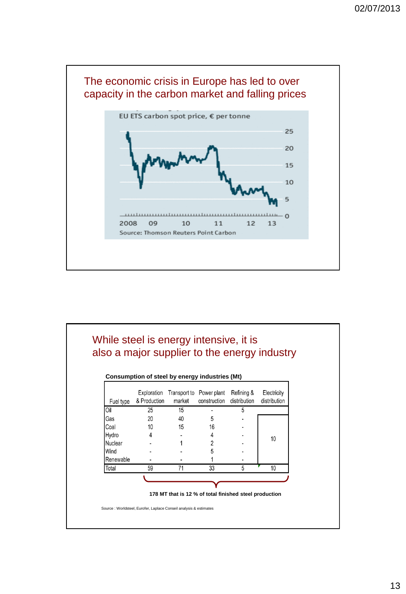

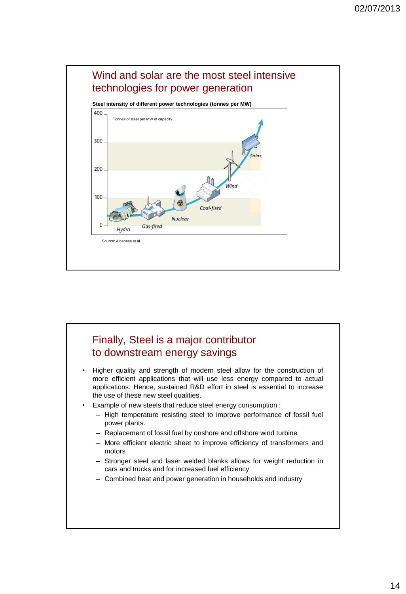